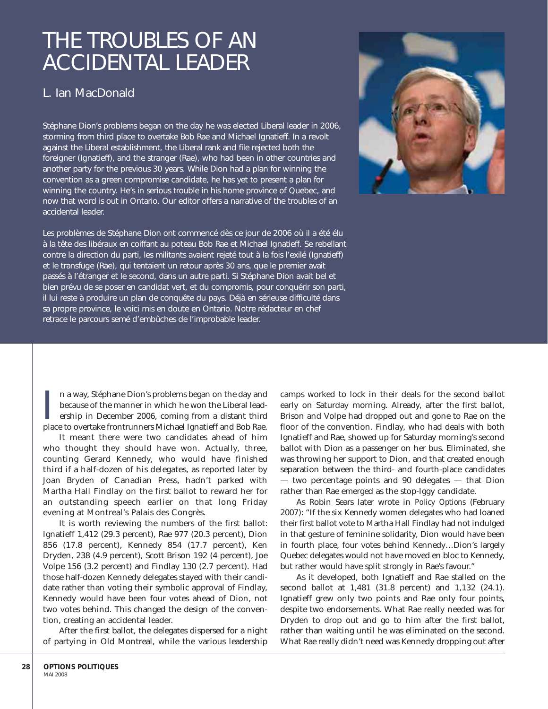## THE TROUBLES OF AN ACCIDENTAL LEADER

### L. Ian MacDonald

Stéphane Dion's problems began on the day he was elected Liberal leader in 2006, storming from third place to overtake Bob Rae and Michael Ignatieff. In a revolt against the Liberal establishment, the Liberal rank and file rejected both the foreigner (Ignatieff), and the stranger (Rae), who had been in other countries and another party for the previous 30 years. While Dion had a plan for winning the convention as a green compromise candidate, he has yet to present a plan for winning the country. He's in serious trouble in his home province of Quebec, and now that word is out in Ontario. Our editor offers a narrative of the troubles of an accidental leader.

Les problèmes de Stéphane Dion ont commencé dès ce jour de 2006 où il a été élu à la tête des libéraux en coiffant au poteau Bob Rae et Michael Ignatieff. Se rebellant contre la direction du parti, les militants avaient rejeté tout à la fois l'exilé (Ignatieff) et le transfuge (Rae), qui tentaient un retour après 30 ans, que le premier avait passés à l'étranger et le second, dans un autre parti. Si Stéphane Dion avait bel et bien prévu de se poser en candidat vert, et du compromis, pour conquérir son parti, il lui reste à produire un plan de conquête du pays. Déjà en sérieuse difficulté dans sa propre province, le voici mis en doute en Ontario. Notre rédacteur en chef retrace le parcours semé d'embûches de l'improbable leader.



In a way, Stéphane Dion's problems began on the day and because of the manner in which he won the Liberal leadership in December 2006, coming from a distant third place to overtake frontrunners Michael Ignatieff and Bob Ra n a way, Stéphane Dion's problems began on the day and because of the manner in which he won the Liberal leadership in December 2006, coming from a distant third

It meant there were two candidates ahead of him who thought they should have won. Actually, three, counting Gerard Kennedy, who would have finished third if a half-dozen of his delegates, as reported later by Joan Bryden of Canadian Press, hadn't parked with Martha Hall Findlay on the first ballot to reward her for an outstanding speech earlier on that long Friday evening at Montreal's Palais des Congrès.

It is worth reviewing the numbers of the first ballot: Ignatieff 1,412 (29.3 percent), Rae 977 (20.3 percent), Dion 856 (17.8 percent), Kennedy 854 (17.7 percent), Ken Dryden, 238 (4.9 percent), Scott Brison 192 (4 percent), Joe Volpe 156 (3.2 percent) and Findlay 130 (2.7 percent). Had those half-dozen Kennedy delegates stayed with their candidate rather than voting their symbolic approval of Findlay, Kennedy would have been four votes ahead of Dion, not two votes behind. This changed the design of the convention, creating an accidental leader.

After the first ballot, the delegates dispersed for a night of partying in Old Montreal, while the various leadership

camps worked to lock in their deals for the second ballot early on Saturday morning. Already, after the first ballot, Brison and Volpe had dropped out and gone to Rae on the floor of the convention. Findlay, who had deals with both Ignatieff and Rae, showed up for Saturday morning's second ballot with Dion as a passenger on her bus. Eliminated, she was throwing her support to Dion, and that created enough separation between the third- and fourth-place candidates — two percentage points and 90 delegates — that Dion rather than Rae emerged as the stop-Iggy candidate.

As Robin Sears later wrote in *Policy Options* (February 2007): "If the six Kennedy women delegates who had loaned their first ballot vote to Martha Hall Findlay had not indulged in that gesture of feminine solidarity, Dion would have been in fourth place, four votes behind Kennedy…Dion's largely Quebec delegates would not have moved en bloc to Kennedy, but rather would have split strongly in Rae's favour."

As it developed, both Ignatieff and Rae stalled on the second ballot at 1,481 (31.8 percent) and 1,132 (24.1). Ignatieff grew only two points and Rae only four points, despite two endorsements. What Rae really needed was for Dryden to drop out and go to him after the first ballot, rather than waiting until he was eliminated on the second. What Rae really didn't need was Kennedy dropping out after

**28**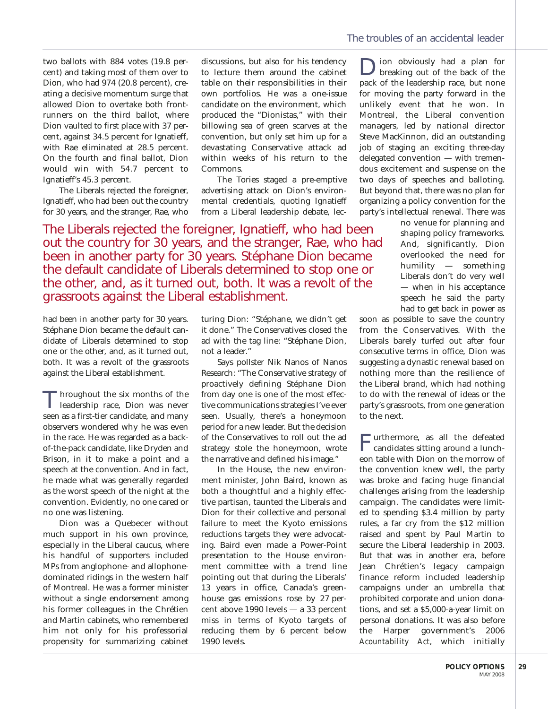two ballots with 884 votes (19.8 percent) and taking most of them over to Dion, who had 974 (20.8 percent), creating a decisive momentum surge that allowed Dion to overtake both frontrunners on the third ballot, where Dion vaulted to first place with 37 percent, against 34.5 percent for Ignatieff, with Rae eliminated at 28.5 percent. On the fourth and final ballot, Dion would win with 54.7 percent to Ignatieff's 45.3 percent.

The Liberals rejected the foreigner, Ignatieff, who had been out the country for 30 years, and the stranger, Rae, who discussions, but also for his tendency to lecture them around the cabinet table on their responsibilities in their own portfolios. He was a one-issue candidate on the environment, which produced the "Dionistas," with their billowing sea of green scarves at the convention, but only set him up for a devastating Conservative attack ad within weeks of his return to the Commons.

The Tories staged a pre-emptive advertising attack on Dion's environmental credentials, quoting Ignatieff from a Liberal leadership debate, lec-

The Liberals rejected the foreigner, Ignatieff, who had been out the country for 30 years, and the stranger, Rae, who had been in another party for 30 years. Stéphane Dion became the default candidate of Liberals determined to stop one or the other, and, as it turned out, both. It was a revolt of the grassroots against the Liberal establishment.

had been in another party for 30 years. Stéphane Dion became the default candidate of Liberals determined to stop one or the other, and, as it turned out, both. It was a revolt of the grassroots against the Liberal establishment.

Throughout the six months of the leadership race, Dion was never seen as a first-tier candidate, and many observers wondered why he was even in the race. He was regarded as a backof-the-pack candidate, like Dryden and Brison, in it to make a point and a speech at the convention. And in fact, he made what was generally regarded as the worst speech of the night at the convention. Evidently, no one cared or no one was listening.

Dion was a Quebecer without much support in his own province, especially in the Liberal caucus, where his handful of supporters included MPs from anglophone- and allophonedominated ridings in the western half of Montreal. He was a former minister without a single endorsement among his former colleagues in the Chrétien and Martin cabinets, who remembered him not only for his professorial propensity for summarizing cabinet turing Dion: "Stéphane, we didn't get it done." The Conservatives closed the ad with the tag line: "Stéphane Dion, not a leader."

Says pollster Nik Nanos of Nanos Research: "The Conservative strategy of proactively defining Stéphane Dion from day one is one of the most effective communications strategies I've ever seen. Usually, there's a honeymoon period for a new leader. But the decision of the Conservatives to roll out the ad strategy stole the honeymoon, wrote the narrative and defined his image."

In the House, the new environment minister, John Baird, known as both a thoughtful and a highly effective partisan, taunted the Liberals and Dion for their collective and personal failure to meet the Kyoto emissions reductions targets they were advocating. Baird even made a Power-Point presentation to the House environment committee with a trend line pointing out that during the Liberals' 13 years in office, Canada's greenhouse gas emissions rose by 27 percent above 1990 levels — a 33 percent miss in terms of Kyoto targets of reducing them by 6 percent below 1990 levels.

Dion obviously had a plan for breaking out of the back of the pack of the leadership race, but none for moving the party forward in the unlikely event that he won. In Montreal, the Liberal convention managers, led by national director Steve MacKinnon, did an outstanding job of staging an exciting three-day delegated convention — with tremendous excitement and suspense on the two days of speeches and balloting. But beyond that, there was no plan for organizing a policy convention for the party's intellectual renewal. There was

no venue for planning and shaping policy frameworks. And, significantly, Dion overlooked the need for humility — something Liberals don't do very well — when in his acceptance speech he said the party had to get back in power as

soon as possible to save the country from the Conservatives. With the Liberals barely turfed out after four consecutive terms in office, Dion was suggesting a dynastic renewal based on nothing more than the resilience of the Liberal brand, which had nothing to do with the renewal of ideas or the party's grassroots, from one generation to the next.

F urthermore, as all the defeated candidates sitting around a luncheon table with Dion on the morrow of the convention knew well, the party was broke and facing huge financial challenges arising from the leadership campaign. The candidates were limited to spending \$3.4 million by party rules, a far cry from the \$12 million raised and spent by Paul Martin to secure the Liberal leadership in 2003. But that was in another era, before Jean Chrétien's legacy campaign finance reform included leadership campaigns under an umbrella that prohibited corporate and union donations, and set a \$5,000-a-year limit on personal donations. It was also before the Harper government's 2006 *Acountability Act*, which initially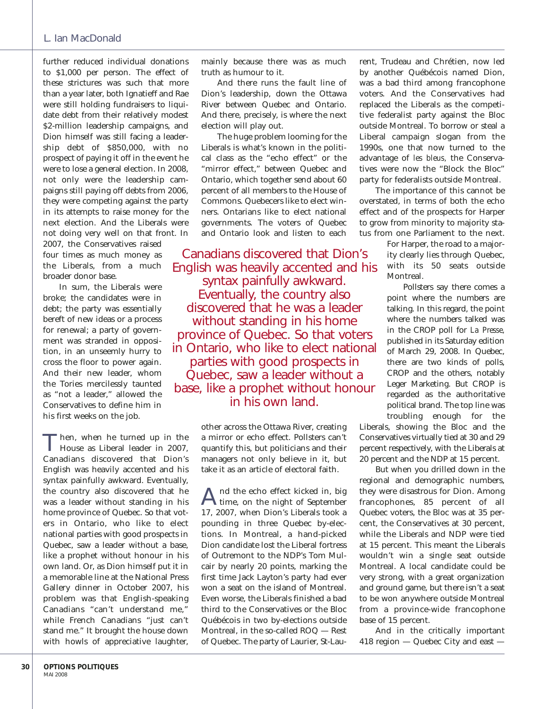#### L. Ian MacDonald

further reduced individual donations to \$1,000 per person. The effect of these strictures was such that more than a year later, both Ignatieff and Rae were still holding fundraisers to liquidate debt from their relatively modest \$2-million leadership campaigns, and Dion himself was still facing a leadership debt of \$850,000, with no prospect of paying it off in the event he were to lose a general election. In 2008, not only were the leadership campaigns still paying off debts from 2006, they were competing against the party in its attempts to raise money for the next election. And the Liberals were not doing very well on that front. In 2007, the Conservatives raised four times as much money as the Liberals, from a much broader donor base.

In sum, the Liberals were broke; the candidates were in debt; the party was essentially bereft of new ideas or a process for renewal; a party of government was stranded in opposition, in an unseemly hurry to cross the floor to power again. And their new leader, whom the Tories mercilessly taunted as "not a leader," allowed the Conservatives to define him in his first weeks on the job.

T hen, when he turned up in the House as Liberal leader in 2007, Canadians discovered that Dion's English was heavily accented and his syntax painfully awkward. Eventually, the country also discovered that he was a leader without standing in his home province of Quebec. So that voters in Ontario, who like to elect national parties with good prospects in Quebec, saw a leader without a base, like a prophet without honour in his own land. Or, as Dion himself put it in a memorable line at the National Press Gallery dinner in October 2007, his problem was that English-speaking Canadians "can't understand me," while French Canadians "just can't stand me." It brought the house down with howls of appreciative laughter,

And there runs the fault line of Dion's leadership, down the Ottawa River between Quebec and Ontario. And there, precisely, is where the next election will play out.

The huge problem looming for the Liberals is what's known in the political class as the "echo effect" or the "mirror effect," between Quebec and Ontario, which together send about 60 percent of all members to the House of Commons. Quebecers like to elect winners. Ontarians like to elect national governments. The voters of Quebec and Ontario look and listen to each

Canadians discovered that Dion's English was heavily accented and his syntax painfully awkward. Eventually, the country also discovered that he was a leader without standing in his home province of Quebec. So that voters in Ontario, who like to elect national parties with good prospects in Quebec, saw a leader without a base, like a prophet without honour in his own land.

> other across the Ottawa River, creating a mirror or echo effect. Pollsters can't quantify this, but politicians and their managers not only believe in it, but take it as an article of electoral faith.

> And the echo effect kicked in, big time, on the night of September 17, 2007, when Dion's Liberals took a pounding in three Quebec by-elections. In Montreal, a hand-picked Dion candidate lost the Liberal fortress of Outremont to the NDP's Tom Mulcair by nearly 20 points, marking the first time Jack Layton's party had ever won a seat on the island of Montreal. Even worse, the Liberals finished a bad third to the Conservatives or the Bloc Québécois in two by-elections outside Montreal, in the so-called ROQ — Rest of Quebec. The party of Laurier, St-Lau

rent, Trudeau and Chrétien, now led by another Québécois named Dion, was a bad third among francophone voters. And the Conservatives had replaced the Liberals as the competitive federalist party against the Bloc outside Montreal. To borrow or steal a Liberal campaign slogan from the 1990s, one that now turned to the advantage of *les bleus,* the Conservatives were now the "Block the Bloc" party for federalists outside Montreal.

The importance of this cannot be overstated, in terms of both the echo effect and of the prospects for Harper to grow from minority to majority status from one Parliament to the next.

> For Harper, the road to a majority clearly lies through Quebec, with its 50 seats outside Montreal.

Pollsters say there comes a point where the numbers are talking. In this regard, the point where the numbers talked was in the CROP poll for *La Presse,* published in its Saturday edition of March 29, 2008. In Quebec, there are two kinds of polls, CROP and the others, notably Leger Marketing. But CROP is regarded as the authoritative political brand. The top line was troubling enough for the

Liberals, showing the Bloc and the Conservatives virtually tied at 30 and 29 percent respectively, with the Liberals at 20 percent and the NDP at 15 percent.

But when you drilled down in the regional and demographic numbers, they were disastrous for Dion. Among francophones, 85 percent of all Quebec voters, the Bloc was at 35 percent, the Conservatives at 30 percent, while the Liberals and NDP were tied at 15 percent. This meant the Liberals wouldn't win a single seat outside Montreal. A local candidate could be very strong, with a great organization and ground game, but there isn't a seat to be won anywhere outside Montreal from a province-wide francophone base of 15 percent.

And in the critically important 418 region — Quebec City and east —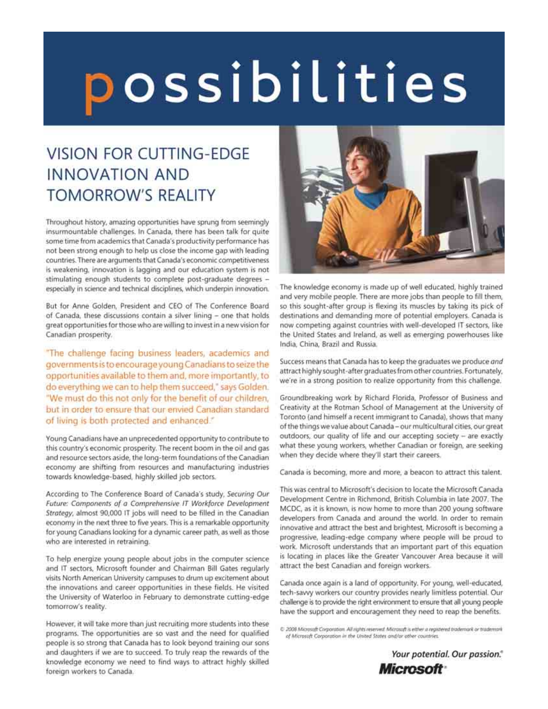# possibilities

## **VISION FOR CUTTING-EDGE INNOVATION AND TOMORROW'S REALITY**

Throughout history, amazing opportunities have sprung from seemingly insurmountable challenges. In Canada, there has been talk for quite some time from academics that Canada's productivity performance has not been strong enough to help us close the income gap with leading countries. There are arguments that Canada's economic competitiveness is weakening, innovation is lagging and our education system is not stimulating enough students to complete post-graduate degrees especially in science and technical disciplines, which underpin innovation.

But for Anne Golden, President and CEO of The Conference Board of Canada, these discussions contain a silver lining - one that holds great opportunities for those who are willing to invest in a new vision for Canadian prosperity.

"The challenge facing business leaders, academics and governments is to encourage young Canadians to seize the opportunities available to them and, more importantly, to do everything we can to help them succeed," says Golden. "We must do this not only for the benefit of our children, but in order to ensure that our envied Canadian standard of living is both protected and enhanced."

Young Canadians have an unprecedented opportunity to contribute to this country's economic prosperity. The recent boom in the oil and gas and resource sectors aside, the long-term foundations of the Canadian economy are shifting from resources and manufacturing industries towards knowledge-based, highly skilled job sectors.

According to The Conference Board of Canada's study, Securing Our Future: Components of a Comprehensive IT Workforce Development Strategy, almost 90,000 IT jobs will need to be filled in the Canadian economy in the next three to five years. This is a remarkable opportunity for young Canadians looking for a dynamic career path, as well as those who are interested in retraining.

To help energize young people about jobs in the computer science and IT sectors, Microsoft founder and Chairman Bill Gates regularly visits North American University campuses to drum up excitement about the innovations and career opportunities in these fields. He visited the University of Waterloo in February to demonstrate cutting-edge tomorrow's reality.

However, it will take more than just recruiting more students into these programs. The opportunities are so vast and the need for qualified people is so strong that Canada has to look beyond training our sons and daughters if we are to succeed. To truly reap the rewards of the knowledge economy we need to find ways to attract highly skilled foreign workers to Canada.



The knowledge economy is made up of well educated, highly trained and very mobile people. There are more jobs than people to fill them, so this sought-after group is flexing its muscles by taking its pick of destinations and demanding more of potential employers. Canada is now competing against countries with well-developed IT sectors, like the United States and Ireland, as well as emerging powerhouses like India, China, Brazil and Russia.

Success means that Canada has to keep the graduates we produce and attract highly sought-after graduates from other countries. Fortunately, we're in a strong position to realize opportunity from this challenge.

Groundbreaking work by Richard Florida, Professor of Business and Creativity at the Rotman School of Management at the University of Toronto (and himself a recent immigrant to Canada), shows that many of the things we value about Canada - our multicultural cities, our great outdoors, our quality of life and our accepting society - are exactly what these young workers, whether Canadian or foreign, are seeking when they decide where they'll start their careers.

Canada is becoming, more and more, a beacon to attract this talent.

This was central to Microsoft's decision to locate the Microsoft Canada Development Centre in Richmond, British Columbia in late 2007. The MCDC, as it is known, is now home to more than 200 young software developers from Canada and around the world. In order to remain innovative and attract the best and brightest, Microsoft is becoming a progressive, leading-edge company where people will be proud to work. Microsoft understands that an important part of this equation is locating in places like the Greater Vancouver Area because it will attract the best Canadian and foreign workers.

Canada once again is a land of opportunity. For young, well-educated, tech-savvy workers our country provides nearly limitless potential. Our challenge is to provide the right environment to ensure that all young people have the support and encouragement they need to reap the benefits.

C 2008 Microsoft Corporation. All rights reserved. Microsoft is either a registered trademark or trademark of Microsoft Corporation in the United States and/or other countries.

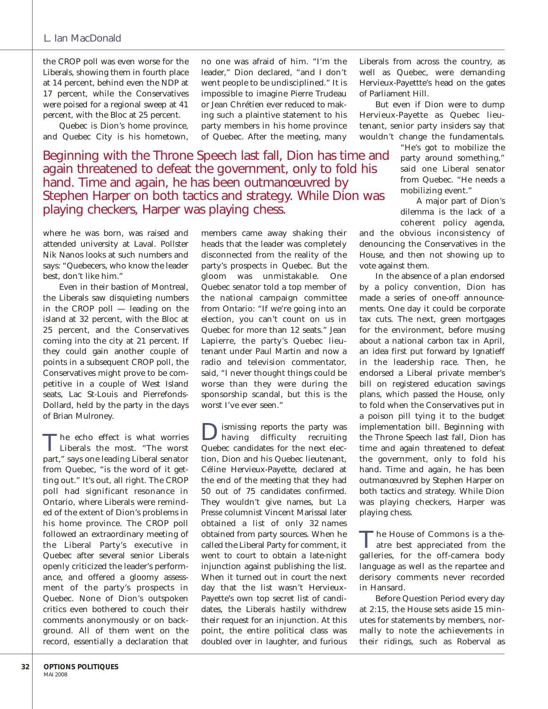### L. Ian MacDonald

the CROP poll was even worse for the Liberals, showing them in fourth place at 14 percent, behind even the NDP at 17 percent, while the Conservatives were poised for a regional sweep at 41 percent, with the Bloc at 25 percent.

Quebec is Dion's home province, and Quebec City is his hometown, no one was afraid of him. "I'm the leader," Dion declared, "and I don't went people to be undisciplined." It is impossible to imagine Pierre Trudeau or Jean Chrétien ever reduced to making such a plaintive statement to his party members in his home province of Quebec. After the meeting, many

Beginning with the Throne Speech last fall, Dion has time and again threatened to defeat the government, only to fold his hand. Time and again, he has been outmanœuvred by Stephen Harper on both tactics and strategy. While Dion was playing checkers, Harper was playing chess.

where he was born, was raised and attended university at Laval. Pollster Nik Nanos looks at such numbers and says: "Quebecers, who know the leader best, don't like him."

Even in their bastion of Montreal, the Liberals saw disquieting numbers in the CROP poll — leading on the island at 32 percent, with the Bloc at 25 percent, and the Conservatives coming into the city at 21 percent. If they could gain another couple of points in a subsequent CROP poll, the Conservatives might prove to be competitive in a couple of West Island seats, Lac St-Louis and Pierrefonds-Dollard, held by the party in the days of Brian Mulroney.

T he echo effect is what worries Liberals the most. "The worst part," says one leading Liberal senator from Quebec, "is the word of it getting out." It's out, all right. The CROP poll had significant resonance in Ontario, where Liberals were reminded of the extent of Dion's problems in his home province. The CROP poll followed an extraordinary meeting of the Liberal Party's executive in Quebec after several senior Liberals openly criticized the leader's performance, and offered a gloomy assessment of the party's prospects in Quebec. None of Dion's outspoken critics even bothered to couch their comments anonymously or on background. All of them went on the record, essentially a declaration that members came away shaking their heads that the leader was completely disconnected from the reality of the party's prospects in Quebec. But the gloom was unmistakable. One Quebec senator told a top member of the national campaign committee from Ontario: "If we're going into an election, you can't count on us in Quebec for more than 12 seats." Jean Lapierre, the party's Quebec lieutenant under Paul Martin and now a radio and television commentator, said, "I never thought things could be worse than they were during the sponsorship scandal, but this is the worst I've ever seen."

Dismissing reports the party was having difficulty recruiting Quebec candidates for the next election, Dion and his Quebec lieutenant, Céline Hervieux-Payette, declared at the end of the meeting that they had 50 out of 75 candidates confirmed. They wouldn't give names, but *La Presse* columnist Vincent Marissal later obtained a list of only 32 names obtained from party sources. When he called the Liberal Party for comment, it went to court to obtain a late-night injunction against publishing the list. When it turned out in court the next day that the list wasn't Hervieux-Payette's own top secret list of candidates, the Liberals hastily withdrew their request for an injunction. At this point, the entire political class was doubled over in laughter, and furious

Liberals from across the country, as well as Quebec, were demanding Hervieux-Payettte's head on the gates of Parliament Hill.

But even if Dion were to dump Hervieux-Payette as Quebec lieutenant, senior party insiders say that wouldn't change the fundamentals.

> "He's got to mobilize the party around something," said one Liberal senator from Quebec. "He needs a mobilizing event."

> A major part of Dion's dilemma is the lack of a coherent policy agenda,

and the obvious inconsistency of denouncing the Conservatives in the House, and then not showing up to vote against them.

In the absence of a plan endorsed by a policy convention, Dion has made a series of one-off announcements. One day it could be corporate tax cuts. The next, green mortgages for the environment, before musing about a national carbon tax in April, an idea first put forward by Ignatieff in the leadership race. Then, he endorsed a Liberal private member's bill on registered education savings plans, which passed the House, only to fold when the Conservatives put in a poison pill tying it to the budget implementation bill. Beginning with the Throne Speech last fall, Dion has time and again threatened to defeat the government, only to fold his hand. Time and again, he has been outmanœuvred by Stephen Harper on both tactics and strategy. While Dion was playing checkers, Harper was playing chess.

T he House of Commons is a the-atre best appreciated from the galleries, for the off-camera body language as well as the repartee and derisory comments never recorded in Hansard.

Before Question Period every day at 2:15, the House sets aside 15 minutes for statements by members, normally to note the achievements in their ridings, such as Roberval as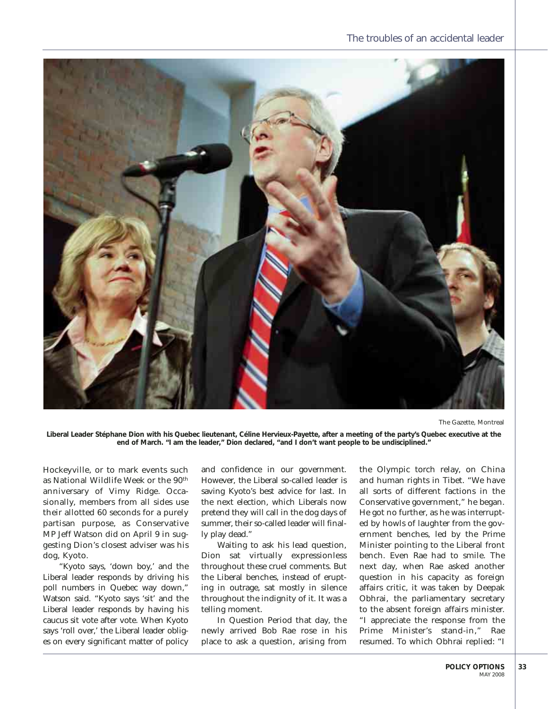

The Gazette, Montreal

**Liberal Leader Stéphane Dion with his Quebec lieutenant, Céline Hervieux-Payette, after a meeting of the party's Quebec executive at the end of March. "I am the leader," Dion declared, "and I don't want people to be undisciplined."**

Hockeyville, or to mark events such as National Wildlife Week or the 90<sup>th</sup> anniversary of Vimy Ridge. Occasionally, members from all sides use their allotted 60 seconds for a purely partisan purpose, as Conservative MP Jeff Watson did on April 9 in suggesting Dion's closest adviser was his dog, Kyoto.

"Kyoto says, 'down boy,' and the Liberal leader responds by driving his poll numbers in Quebec way down," Watson said. "Kyoto says 'sit' and the Liberal leader responds by having his caucus sit vote after vote. When Kyoto says 'roll over,' the Liberal leader obliges on every significant matter of policy and confidence in our government. However, the Liberal so-called leader is saving Kyoto's best advice for last. In the next election, which Liberals now pretend they will call in the dog days of summer, their so-called leader will finally play dead."

Waiting to ask his lead question, Dion sat virtually expressionless throughout these cruel comments. But the Liberal benches, instead of erupting in outrage, sat mostly in silence throughout the indignity of it. It was a telling moment.

In Question Period that day, the newly arrived Bob Rae rose in his place to ask a question, arising from

the Olympic torch relay, on China and human rights in Tibet. "We have all sorts of different factions in the Conservative government," he began. He got no further, as he was interrupted by howls of laughter from the government benches, led by the Prime Minister pointing to the Liberal front bench. Even Rae had to smile. The next day, when Rae asked another question in his capacity as foreign affairs critic, it was taken by Deepak Obhrai, the parliamentary secretary to the absent foreign affairs minister. "I appreciate the response from the Prime Minister's stand-in," Rae resumed. To which Obhrai replied: "I